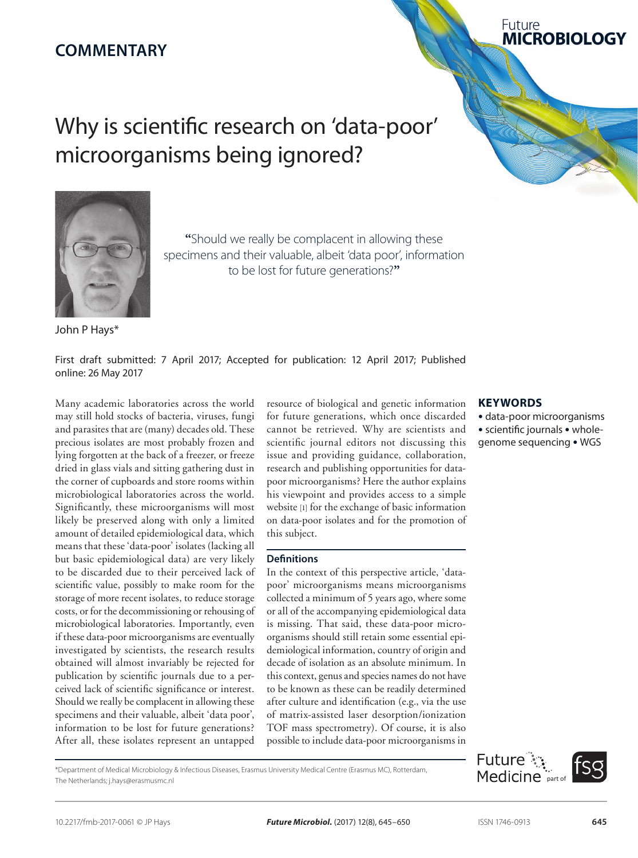# **COMMENTARY**

# Why is scientific research on 'data-poor' microorganisms being ignored?



**"**Should we really be complacent in allowing these specimens and their valuable, albeit 'data poor', information to be lost for future generations?**"**

John P Hays\*

First draft submitted: 7 April 2017; Accepted for publication: 12 April 2017; Published online: 26 May 2017

Many academic laboratories across the world may still hold stocks of bacteria, viruses, fungi and parasites that are (many) decades old. These precious isolates are most probably frozen and lying forgotten at the back of a freezer, or freeze dried in glass vials and sitting gathering dust in the corner of cupboards and store rooms within microbiological laboratories across the world. Significantly, these microorganisms will most likely be preserved along with only a limited amount of detailed epidemiological data, which means that these 'data-poor' isolates (lacking all but basic epidemiological data) are very likely to be discarded due to their perceived lack of scientific value, possibly to make room for the storage of more recent isolates, to reduce storage costs, or for the decommissioning or rehousing of microbiological laboratories. Importantly, even if these data-poor microorganisms are eventually investigated by scientists, the research results obtained will almost invariably be rejected for publication by scientific journals due to a perceived lack of scientific significance or interest. Should we really be complacent in allowing these specimens and their valuable, albeit 'data poor', information to be lost for future generations? After all, these isolates represent an untapped resource of biological and genetic information for future generations, which once discarded cannot be retrieved. Why are scientists and scientific journal editors not discussing this issue and providing guidance, collaboration, research and publishing opportunities for datapoor microorganisms? Here the author explains his viewpoint and provides access to a simple website [1] for the exchange of basic information on data-poor isolates and for the promotion of this subject.

## **Definitions**

In the context of this perspective article, 'datapoor' microorganisms means microorganisms collected a minimum of 5 years ago, where some or all of the accompanying epidemiological data is missing. That said, these data-poor microorganisms should still retain some essential epidemiological information, country of origin and decade of isolation as an absolute minimum. In this context, genus and species names do not have to be known as these can be readily determined after culture and identification (e.g., via the use of matrix-assisted laser desorption/ionization TOF mass spectrometry). Of course, it is also possible to include data-poor microorganisms in

# **KEYWORDS**

Future

**MICROBIOLOGY** 

• data-poor microorganisms • scientific journals • wholegenome sequencing • WGS

\*Department of Medical Microbiology & Infectious Diseases, Erasmus University Medical Centre (Erasmus MC), Rotterdam, The Netherlands; j.hays@erasmusmc.nl

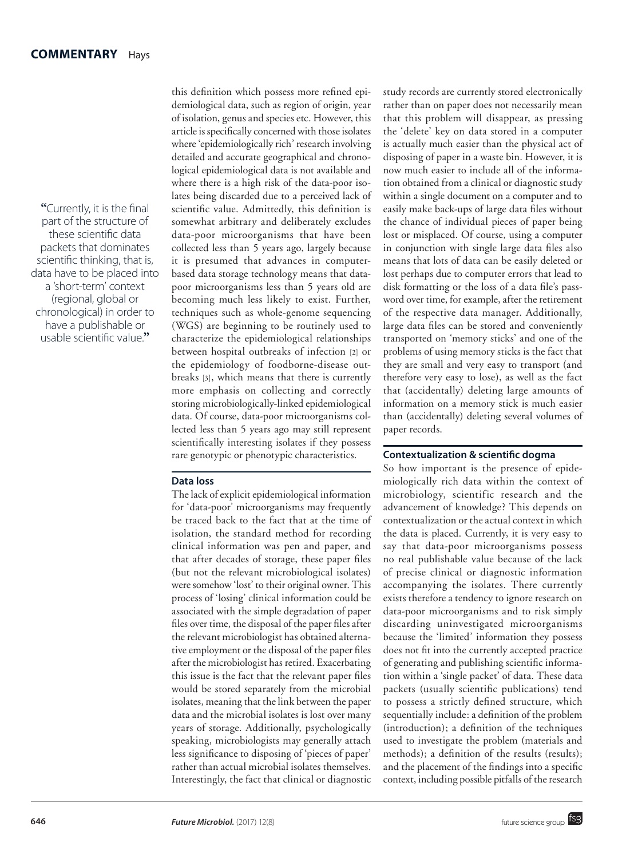**"**Currently, it is the final part of the structure of these scientific data packets that dominates scientific thinking, that is, data have to be placed into a 'short-term' context (regional, global or chronological) in order to have a publishable or usable scientific value.**"**

this definition which possess more refined epidemiological data, such as region of origin, year of isolation, genus and species etc. However, this article is specifically concerned with those isolates where 'epidemiologically rich' research involving detailed and accurate geographical and chronological epidemiological data is not available and where there is a high risk of the data-poor isolates being discarded due to a perceived lack of scientific value. Admittedly, this definition is somewhat arbitrary and deliberately excludes data-poor microorganisms that have been collected less than 5 years ago, largely because it is presumed that advances in computerbased data storage technology means that datapoor microorganisms less than 5 years old are becoming much less likely to exist. Further, techniques such as whole-genome sequencing (WGS) are beginning to be routinely used to characterize the epidemiological relationships between hospital outbreaks of infection [2] or the epidemiology of foodborne-disease outbreaks [3], which means that there is currently more emphasis on collecting and correctly storing microbiologically-linked epidemiological data. Of course, data-poor microorganisms collected less than 5 years ago may still represent scientifically interesting isolates if they possess rare genotypic or phenotypic characteristics.

#### **Data loss**

The lack of explicit epidemiological information for 'data-poor' microorganisms may frequently be traced back to the fact that at the time of isolation, the standard method for recording clinical information was pen and paper, and that after decades of storage, these paper files (but not the relevant microbiological isolates) were somehow 'lost' to their original owner. This process of 'losing' clinical information could be associated with the simple degradation of paper files over time, the disposal of the paper files after the relevant microbiologist has obtained alternative employment or the disposal of the paper files after the microbiologist has retired. Exacerbating this issue is the fact that the relevant paper files would be stored separately from the microbial isolates, meaning that the link between the paper data and the microbial isolates is lost over many years of storage. Additionally, psychologically speaking, microbiologists may generally attach less significance to disposing of 'pieces of paper' rather than actual microbial isolates themselves. Interestingly, the fact that clinical or diagnostic

study records are currently stored electronically rather than on paper does not necessarily mean that this problem will disappear, as pressing the 'delete' key on data stored in a computer is actually much easier than the physical act of disposing of paper in a waste bin. However, it is now much easier to include all of the information obtained from a clinical or diagnostic study within a single document on a computer and to easily make back-ups of large data files without the chance of individual pieces of paper being lost or misplaced. Of course, using a computer in conjunction with single large data files also means that lots of data can be easily deleted or lost perhaps due to computer errors that lead to disk formatting or the loss of a data file's password over time, for example, after the retirement of the respective data manager. Additionally, large data files can be stored and conveniently transported on 'memory sticks' and one of the problems of using memory sticks is the fact that they are small and very easy to transport (and therefore very easy to lose), as well as the fact that (accidentally) deleting large amounts of information on a memory stick is much easier than (accidentally) deleting several volumes of paper records.

### **Contextualization & scientific dogma**

So how important is the presence of epidemiologically rich data within the context of microbiology, scientific research and the advancement of knowledge? This depends on contextualization or the actual context in which the data is placed. Currently, it is very easy to say that data-poor microorganisms possess no real publishable value because of the lack of precise clinical or diagnostic information accompanying the isolates. There currently exists therefore a tendency to ignore research on data-poor microorganisms and to risk simply discarding uninvestigated microorganisms because the 'limited' information they possess does not fit into the currently accepted practice of generating and publishing scientific information within a 'single packet' of data. These data packets (usually scientific publications) tend to possess a strictly defined structure, which sequentially include: a definition of the problem (introduction); a definition of the techniques used to investigate the problem (materials and methods); a definition of the results (results); and the placement of the findings into a specific context, including possible pitfalls of the research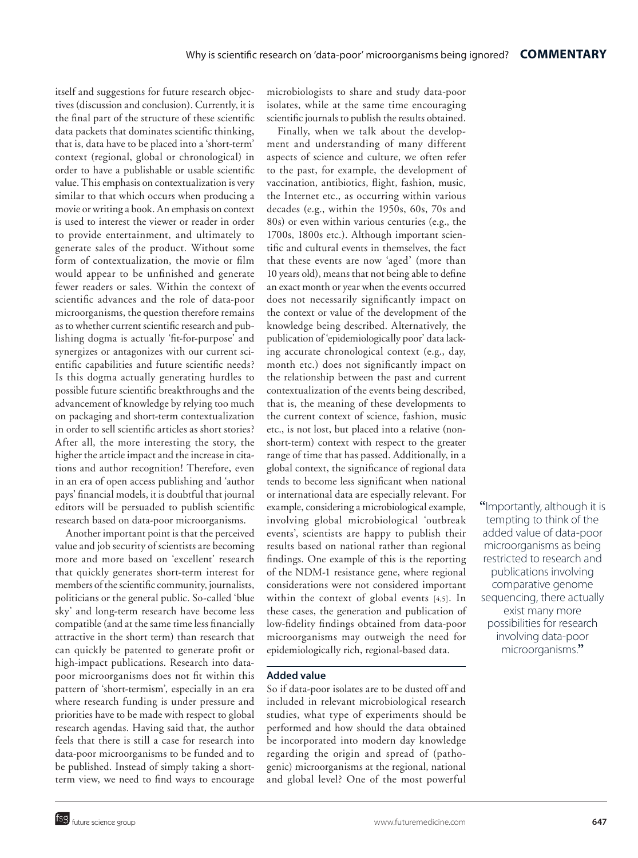itself and suggestions for future research objectives (discussion and conclusion). Currently, it is the final part of the structure of these scientific data packets that dominates scientific thinking, that is, data have to be placed into a 'short-term' context (regional, global or chronological) in order to have a publishable or usable scientific value. This emphasis on contextualization is very similar to that which occurs when producing a movie or writing a book. An emphasis on context is used to interest the viewer or reader in order to provide entertainment, and ultimately to generate sales of the product. Without some form of contextualization, the movie or film would appear to be unfinished and generate fewer readers or sales. Within the context of scientific advances and the role of data-poor microorganisms, the question therefore remains as to whether current scientific research and publishing dogma is actually 'fit-for-purpose' and synergizes or antagonizes with our current scientific capabilities and future scientific needs? Is this dogma actually generating hurdles to possible future scientific breakthroughs and the advancement of knowledge by relying too much on packaging and short-term contextualization in order to sell scientific articles as short stories? After all, the more interesting the story, the higher the article impact and the increase in citations and author recognition! Therefore, even in an era of open access publishing and 'author pays' financial models, it is doubtful that journal editors will be persuaded to publish scientific research based on data-poor microorganisms.

Another important point is that the perceived value and job security of scientists are becoming more and more based on 'excellent' research that quickly generates short-term interest for members of the scientific community, journalists, politicians or the general public. So-called 'blue sky' and long-term research have become less compatible (and at the same time less financially attractive in the short term) than research that can quickly be patented to generate profit or high-impact publications. Research into datapoor microorganisms does not fit within this pattern of 'short-termism', especially in an era where research funding is under pressure and priorities have to be made with respect to global research agendas. Having said that, the author feels that there is still a case for research into data-poor microorganisms to be funded and to be published. Instead of simply taking a shortterm view, we need to find ways to encourage microbiologists to share and study data-poor isolates, while at the same time encouraging scientific journals to publish the results obtained.

Finally, when we talk about the development and understanding of many different aspects of science and culture, we often refer to the past, for example, the development of vaccination, antibiotics, flight, fashion, music, the Internet etc., as occurring within various decades (e.g., within the 1950s, 60s, 70s and 80s) or even within various centuries (e.g., the 1700s, 1800s etc.). Although important scientific and cultural events in themselves, the fact that these events are now 'aged' (more than 10 years old), means that not being able to define an exact month or year when the events occurred does not necessarily significantly impact on the context or value of the development of the knowledge being described. Alternatively, the publication of 'epidemiologically poor' data lacking accurate chronological context (e.g., day, month etc.) does not significantly impact on the relationship between the past and current contextualization of the events being described, that is, the meaning of these developments to the current context of science, fashion, music etc., is not lost, but placed into a relative (nonshort-term) context with respect to the greater range of time that has passed. Additionally, in a global context, the significance of regional data tends to become less significant when national or international data are especially relevant. For example, considering a microbiological example, involving global microbiological 'outbreak events', scientists are happy to publish their results based on national rather than regional findings. One example of this is the reporting of the NDM-1 resistance gene, where regional considerations were not considered important within the context of global events [4,5]. In these cases, the generation and publication of low-fidelity findings obtained from data-poor microorganisms may outweigh the need for epidemiologically rich, regional-based data.

#### **Added value**

So if data-poor isolates are to be dusted off and included in relevant microbiological research studies, what type of experiments should be performed and how should the data obtained be incorporated into modern day knowledge regarding the origin and spread of (pathogenic) microorganisms at the regional, national and global level? One of the most powerful **"**Importantly, although it is tempting to think of the added value of data-poor microorganisms as being restricted to research and publications involving comparative genome sequencing, there actually exist many more possibilities for research involving data-poor microorganisms.**"**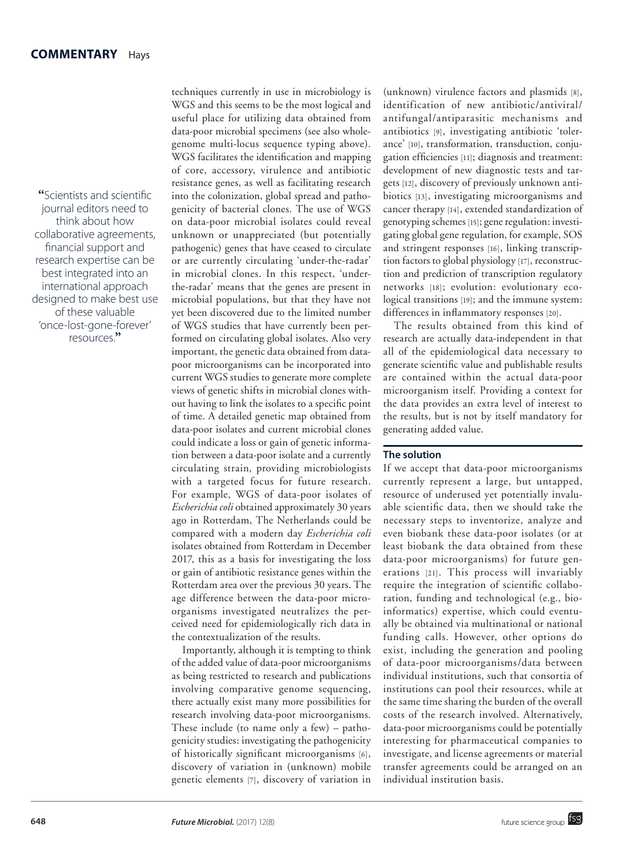**"**Scientists and scientific journal editors need to think about how collaborative agreements, financial support and research expertise can be best integrated into an international approach designed to make best use of these valuable 'once-lost-gone-forever' resources.**"**

techniques currently in use in microbiology is WGS and this seems to be the most logical and useful place for utilizing data obtained from data-poor microbial specimens (see also wholegenome multi-locus sequence typing above). WGS facilitates the identification and mapping of core, accessory, virulence and antibiotic resistance genes, as well as facilitating research into the colonization, global spread and pathogenicity of bacterial clones. The use of WGS on data-poor microbial isolates could reveal unknown or unappreciated (but potentially pathogenic) genes that have ceased to circulate or are currently circulating 'under-the-radar' in microbial clones. In this respect, 'underthe-radar' means that the genes are present in microbial populations, but that they have not yet been discovered due to the limited number of WGS studies that have currently been performed on circulating global isolates. Also very important, the genetic data obtained from datapoor microorganisms can be incorporated into current WGS studies to generate more complete views of genetic shifts in microbial clones without having to link the isolates to a specific point of time. A detailed genetic map obtained from data-poor isolates and current microbial clones could indicate a loss or gain of genetic information between a data-poor isolate and a currently circulating strain, providing microbiologists with a targeted focus for future research. For example, WGS of data-poor isolates of *Escherichia coli* obtained approximately 30 years ago in Rotterdam, The Netherlands could be compared with a modern day *Escherichia coli* isolates obtained from Rotterdam in December 2017, this as a basis for investigating the loss or gain of antibiotic resistance genes within the Rotterdam area over the previous 30 years. The age difference between the data-poor microorganisms investigated neutralizes the perceived need for epidemiologically rich data in the contextualization of the results.

Importantly, although it is tempting to think of the added value of data-poor microorganisms as being restricted to research and publications involving comparative genome sequencing, there actually exist many more possibilities for research involving data-poor microorganisms. These include (to name only a few) – pathogenicity studies: investigating the pathogenicity of historically significant microorganisms [6], discovery of variation in (unknown) mobile genetic elements [7], discovery of variation in (unknown) virulence factors and plasmids [8], identification of new antibiotic/antiviral/ antifungal/antiparasitic mechanisms and antibiotics [9], investigating antibiotic 'tolerance' [10], transformation, transduction, conjugation efficiencies [11]; diagnosis and treatment: development of new diagnostic tests and targets [12], discovery of previously unknown antibiotics [13], investigating microorganisms and cancer therapy [14], extended standardization of genotyping schemes [15]; gene regulation: investigating global gene regulation, for example, SOS and stringent responses [16], linking transcription factors to global physiology [17], reconstruction and prediction of transcription regulatory networks [18]; evolution: evolutionary ecological transitions [19]; and the immune system: differences in inflammatory responses [20].

The results obtained from this kind of research are actually data-independent in that all of the epidemiological data necessary to generate scientific value and publishable results are contained within the actual data-poor microorganism itself. Providing a context for the data provides an extra level of interest to the results, but is not by itself mandatory for generating added value.

# **The solution**

If we accept that data-poor microorganisms currently represent a large, but untapped, resource of underused yet potentially invaluable scientific data, then we should take the necessary steps to inventorize, analyze and even biobank these data-poor isolates (or at least biobank the data obtained from these data-poor microorganisms) for future generations [21]. This process will invariably require the integration of scientific collaboration, funding and technological (e.g., bioinformatics) expertise, which could eventually be obtained via multinational or national funding calls. However, other options do exist, including the generation and pooling of data-poor microorganisms/data between individual institutions, such that consortia of institutions can pool their resources, while at the same time sharing the burden of the overall costs of the research involved. Alternatively, data-poor microorganisms could be potentially interesting for pharmaceutical companies to investigate, and license agreements or material transfer agreements could be arranged on an individual institution basis.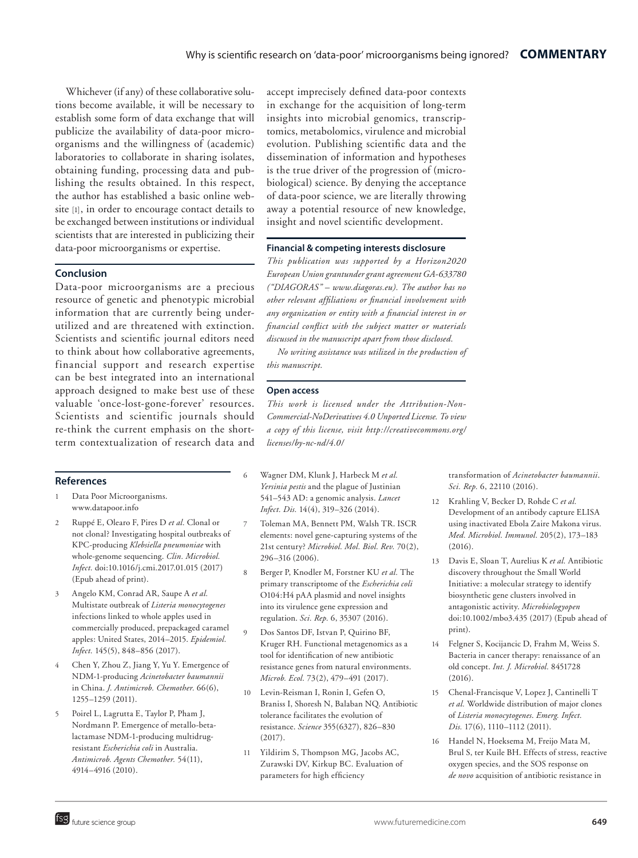Whichever (if any) of these collaborative solutions become available, it will be necessary to establish some form of data exchange that will publicize the availability of data-poor microorganisms and the willingness of (academic) laboratories to collaborate in sharing isolates, obtaining funding, processing data and publishing the results obtained. In this respect, the author has established a basic online website [1], in order to encourage contact details to be exchanged between institutions or individual scientists that are interested in publicizing their data-poor microorganisms or expertise.

#### **Conclusion**

Data-poor microorganisms are a precious resource of genetic and phenotypic microbial information that are currently being underutilized and are threatened with extinction. Scientists and scientific journal editors need to think about how collaborative agreements, financial support and research expertise can be best integrated into an international approach designed to make best use of these valuable 'once-lost-gone-forever' resources. Scientists and scientific journals should re-think the current emphasis on the shortterm contextualization of research data and

#### **References**

- 1 Data Poor Microorganisms. www.datapoor.info
- 2 Ruppé E, Olearo F, Pires D *et al.* Clonal or not clonal? Investigating hospital outbreaks of KPC-producing *Klebsiella pneumoniae* with whole-genome sequencing. *Clin. Microbiol. Infect.* doi:10.1016/j.cmi.2017.01.015 (2017) (Epub ahead of print).
- 3 Angelo KM, Conrad AR, Saupe A *et al.* Multistate outbreak of *Listeria monocytogenes* infections linked to whole apples used in commercially produced, prepackaged caramel apples: United States, 2014–2015. *Epidemiol. Infect.* 145(5), 848–856 (2017).
- 4 Chen Y, Zhou Z, Jiang Y, Yu Y. Emergence of NDM-1-producing *Acinetobacter baumannii* in China. *J. Antimicrob. Chemother.* 66(6), 1255–1259 (2011).
- 5 Poirel L, Lagrutta E, Taylor P, Pham J, Nordmann P. Emergence of metallo-betalactamase NDM-1-producing multidrugresistant *Escherichia coli* in Australia. *Antimicrob. Agents Chemother.* 54(11), 4914–4916 (2010).

accept imprecisely defined data-poor contexts in exchange for the acquisition of long-term insights into microbial genomics, transcriptomics, metabolomics, virulence and microbial evolution. Publishing scientific data and the dissemination of information and hypotheses is the true driver of the progression of (microbiological) science. By denying the acceptance of data-poor science, we are literally throwing away a potential resource of new knowledge, insight and novel scientific development.

#### **Financial & competing interests disclosure**

*This publication was supported by a Horizon2020 European Union grantunder grant agreement GA-633780 ("DIAGORAS" – www.diagoras.eu). The author has no other relevant affiliations or financial involvement with any organization or entity with a financial interest in or financial conflict with the subject matter or materials discussed in the manuscript apart from those disclosed.*

*No writing assistance was utilized in the production of this manuscript.*

#### **Open access**

*This work is licensed under the Attribution-Non-Commercial-NoDerivatives 4.0 Unported License. To view a copy of this license, visit http://creativecommons.org/ licenses/by-nc-nd/4.0/*

- 6 Wagner DM, Klunk J, Harbeck M *et al. Yersinia pestis* and the plague of Justinian 541–543 AD: a genomic analysis. *Lancet Infect. Dis.* 14(4), 319–326 (2014).
- 7 Toleman MA, Bennett PM, Walsh TR. ISCR elements: novel gene-capturing systems of the 21st century? *Microbiol. Mol. Biol. Rev.* 70(2), 296–316 (2006).
- 8 Berger P, Knodler M, Forstner KU *et al.* The primary transcriptome of the *Escherichia coli* O104:H4 pAA plasmid and novel insights into its virulence gene expression and regulation. *Sci. Rep.* 6, 35307 (2016).
- 9 Dos Santos DF, Istvan P, Quirino BF, Kruger RH. Functional metagenomics as a tool for identification of new antibiotic resistance genes from natural environments. *Microb. Ecol.* 73(2), 479–491 (2017).
- Levin-Reisman I, Ronin I, Gefen O, Braniss I, Shoresh N, Balaban NQ. Antibiotic tolerance facilitates the evolution of resistance. *Science* 355(6327), 826–830 (2017).
- Yildirim S, Thompson MG, Jacobs AC, Zurawski DV, Kirkup BC. Evaluation of parameters for high efficiency

transformation of *Acinetobacter baumannii*. *Sci. Rep.* 6, 22110 (2016).

- 12 Krahling V, Becker D, Rohde C *et al.* Development of an antibody capture ELISA using inactivated Ebola Zaire Makona virus. *Med. Microbiol. Immunol.* 205(2), 173–183  $(2016)$
- 13 Davis E, Sloan T, Aurelius K *et al.* Antibiotic discovery throughout the Small World Initiative: a molecular strategy to identify biosynthetic gene clusters involved in antagonistic activity. *Microbiologyopen* doi:10.1002/mbo3.435 (2017) (Epub ahead of print).
- Felgner S, Kocijancic D, Frahm M, Weiss S. Bacteria in cancer therapy: renaissance of an old concept. *Int. J. Microbiol.* 8451728  $(2016).$
- 15 Chenal-Francisque V, Lopez J, Cantinelli T *et al.* Worldwide distribution of major clones of *Listeria monocytogenes*. *Emerg. Infect. Dis.* 17(6), 1110–1112 (2011).
- 16 Handel N, Hoeksema M, Freijo Mata M, Brul S, ter Kuile BH. Effects of stress, reactive oxygen species, and the SOS response on *de novo* acquisition of antibiotic resistance in